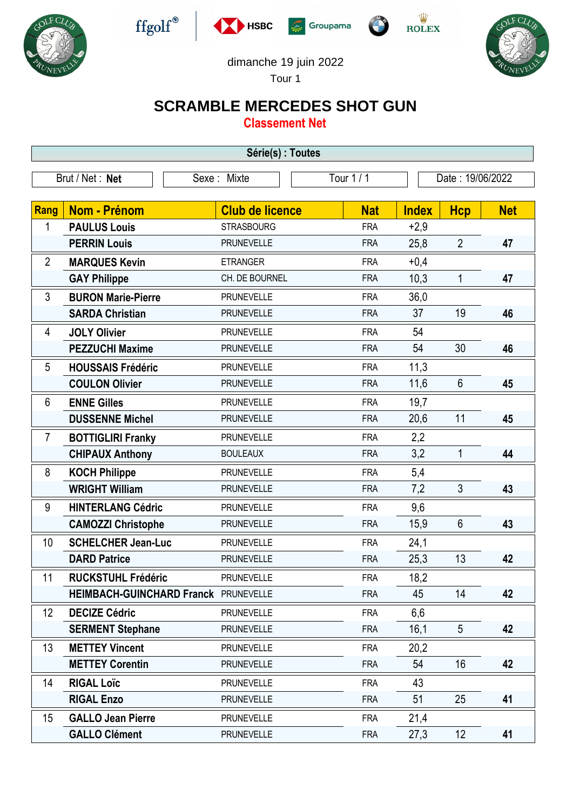











## dimanche 19 juin 2022

Tour 1

## **SCRAMBLE MERCEDES SHOT GUN**

**Classement Net**

| Série(s) : Toutes |                                             |                        |            |              |                  |            |  |
|-------------------|---------------------------------------------|------------------------|------------|--------------|------------------|------------|--|
| Brut / Net: Net   |                                             | Sexe: Mixte            | Tour $1/1$ |              | Date: 19/06/2022 |            |  |
| Rang              | Nom - Prénom                                | <b>Club de licence</b> | <b>Nat</b> | <b>Index</b> | <b>Hcp</b>       | <b>Net</b> |  |
| 1                 | <b>PAULUS Louis</b>                         | <b>STRASBOURG</b>      | <b>FRA</b> | $+2,9$       |                  |            |  |
|                   | <b>PERRIN Louis</b>                         | <b>PRUNEVELLE</b>      | <b>FRA</b> | 25,8         | $\overline{2}$   | 47         |  |
| $\overline{2}$    | <b>MARQUES Kevin</b>                        | <b>ETRANGER</b>        | <b>FRA</b> | $+0,4$       |                  |            |  |
|                   | <b>GAY Philippe</b>                         | CH. DE BOURNEL         | <b>FRA</b> | 10,3         | 1                | 47         |  |
| 3                 | <b>BURON Marie-Pierre</b>                   | <b>PRUNEVELLE</b>      | <b>FRA</b> | 36,0         |                  |            |  |
|                   | <b>SARDA Christian</b>                      | <b>PRUNEVELLE</b>      | <b>FRA</b> | 37           | 19               | 46         |  |
| 4                 | <b>JOLY Olivier</b>                         | <b>PRUNEVELLE</b>      | <b>FRA</b> | 54           |                  |            |  |
|                   | <b>PEZZUCHI Maxime</b>                      | <b>PRUNEVELLE</b>      | <b>FRA</b> | 54           | 30               | 46         |  |
| 5                 | <b>HOUSSAIS Frédéric</b>                    | <b>PRUNEVELLE</b>      | <b>FRA</b> | 11,3         |                  |            |  |
|                   | <b>COULON Olivier</b>                       | <b>PRUNEVELLE</b>      | <b>FRA</b> | 11,6         | $6\phantom{1}$   | 45         |  |
| 6                 | <b>ENNE Gilles</b>                          | <b>PRUNEVELLE</b>      | <b>FRA</b> | 19,7         |                  |            |  |
|                   | <b>DUSSENNE Michel</b>                      | <b>PRUNEVELLE</b>      | <b>FRA</b> | 20,6         | 11               | 45         |  |
| $\overline{7}$    | <b>BOTTIGLIRI Franky</b>                    | <b>PRUNEVELLE</b>      | <b>FRA</b> | 2,2          |                  |            |  |
|                   | <b>CHIPAUX Anthony</b>                      | <b>BOULEAUX</b>        | <b>FRA</b> | 3,2          | $\mathbf{1}$     | 44         |  |
| 8                 | <b>KOCH Philippe</b>                        | <b>PRUNEVELLE</b>      | <b>FRA</b> | 5,4          |                  |            |  |
|                   | <b>WRIGHT William</b>                       | <b>PRUNEVELLE</b>      | <b>FRA</b> | 7,2          | 3                | 43         |  |
| 9                 | <b>HINTERLANG Cédric</b>                    | <b>PRUNEVELLE</b>      | <b>FRA</b> | 9,6          |                  |            |  |
|                   | <b>CAMOZZI Christophe</b>                   | <b>PRUNEVELLE</b>      | <b>FRA</b> | 15,9         | $6\phantom{1}$   | 43         |  |
| 10                | <b>SCHELCHER Jean-Luc</b>                   | <b>PRUNEVELLE</b>      | <b>FRA</b> | 24,1         |                  |            |  |
|                   | <b>DARD Patrice</b>                         | <b>PRUNEVELLE</b>      | <b>FRA</b> | 25,3         | 13               | 42         |  |
| 11                | <b>RUCKSTUHL Frédéric</b>                   | <b>PRUNEVELLE</b>      | <b>FRA</b> | 18,2         |                  |            |  |
|                   | <b>HEIMBACH-GUINCHARD Franck PRUNEVELLE</b> |                        | <b>FRA</b> | 45           | 14               | 42         |  |
| 12                | <b>DECIZE Cédric</b>                        | <b>PRUNEVELLE</b>      | <b>FRA</b> | 6,6          |                  |            |  |
|                   | <b>SERMENT Stephane</b>                     | <b>PRUNEVELLE</b>      | <b>FRA</b> | 16,1         | $5\overline{)}$  | 42         |  |
| 13                | <b>METTEY Vincent</b>                       | <b>PRUNEVELLE</b>      | <b>FRA</b> | 20,2         |                  |            |  |
|                   | <b>METTEY Corentin</b>                      | <b>PRUNEVELLE</b>      | <b>FRA</b> | 54           | 16               | 42         |  |
| 14                | <b>RIGAL Loïc</b>                           | <b>PRUNEVELLE</b>      | <b>FRA</b> | 43           |                  |            |  |
|                   | <b>RIGAL Enzo</b>                           | PRUNEVELLE             | <b>FRA</b> | 51           | 25               | 41         |  |
| 15                | <b>GALLO Jean Pierre</b>                    | <b>PRUNEVELLE</b>      | <b>FRA</b> | 21,4         |                  |            |  |
|                   | <b>GALLO Clément</b>                        | <b>PRUNEVELLE</b>      | <b>FRA</b> | 27,3         | 12               | 41         |  |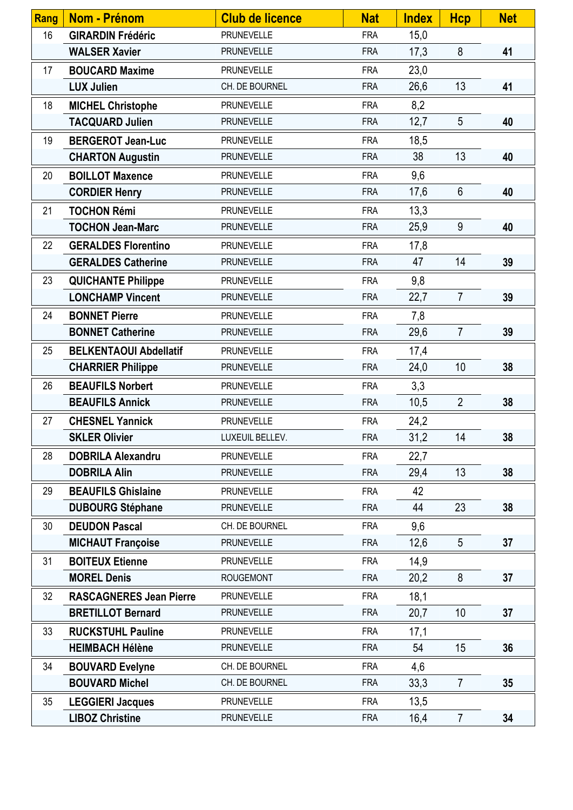| <b>Rang</b>     | <b>Nom - Prénom</b>            | <b>Club de licence</b> | <b>Nat</b> | <b>Index</b> | <b>Hcp</b>      | <b>Net</b> |
|-----------------|--------------------------------|------------------------|------------|--------------|-----------------|------------|
| 16              | <b>GIRARDIN Frédéric</b>       | PRUNEVELLE             | <b>FRA</b> | 15,0         |                 |            |
|                 | <b>WALSER Xavier</b>           | <b>PRUNEVELLE</b>      | <b>FRA</b> | 17,3         | 8               | 41         |
| 17              | <b>BOUCARD Maxime</b>          | <b>PRUNEVELLE</b>      | <b>FRA</b> | 23,0         |                 |            |
|                 | <b>LUX Julien</b>              | CH. DE BOURNEL         | <b>FRA</b> | 26,6         | 13              | 41         |
| 18              | <b>MICHEL Christophe</b>       | <b>PRUNEVELLE</b>      | <b>FRA</b> | 8,2          |                 |            |
|                 | <b>TACQUARD Julien</b>         | <b>PRUNEVELLE</b>      | <b>FRA</b> | 12,7         | 5               | 40         |
| 19              | <b>BERGEROT Jean-Luc</b>       | <b>PRUNEVELLE</b>      | <b>FRA</b> | 18,5         |                 |            |
|                 | <b>CHARTON Augustin</b>        | <b>PRUNEVELLE</b>      | <b>FRA</b> | 38           | 13              | 40         |
| 20              | <b>BOILLOT Maxence</b>         | PRUNEVELLE             | <b>FRA</b> | 9,6          |                 |            |
|                 | <b>CORDIER Henry</b>           | PRUNEVELLE             | <b>FRA</b> | 17,6         | $6\phantom{.}$  | 40         |
| 21              | <b>TOCHON Rémi</b>             | PRUNEVELLE             | <b>FRA</b> | 13,3         |                 |            |
|                 | <b>TOCHON Jean-Marc</b>        | <b>PRUNEVELLE</b>      | <b>FRA</b> | 25,9         | 9               | 40         |
| 22              | <b>GERALDES Florentino</b>     | <b>PRUNEVELLE</b>      | <b>FRA</b> | 17,8         |                 |            |
|                 | <b>GERALDES Catherine</b>      | PRUNEVELLE             | <b>FRA</b> | 47           | 14              | 39         |
| 23              | <b>QUICHANTE Philippe</b>      | <b>PRUNEVELLE</b>      | <b>FRA</b> | 9,8          |                 |            |
|                 | <b>LONCHAMP Vincent</b>        | <b>PRUNEVELLE</b>      | <b>FRA</b> | 22,7         | $\overline{7}$  | 39         |
| 24              | <b>BONNET Pierre</b>           | <b>PRUNEVELLE</b>      | <b>FRA</b> | 7,8          |                 |            |
|                 | <b>BONNET Catherine</b>        | <b>PRUNEVELLE</b>      | <b>FRA</b> | 29,6         | $\overline{7}$  | 39         |
| 25              | <b>BELKENTAOUI Abdellatif</b>  | <b>PRUNEVELLE</b>      | <b>FRA</b> | 17,4         |                 |            |
|                 | <b>CHARRIER Philippe</b>       | PRUNEVELLE             | <b>FRA</b> | 24,0         | 10              | 38         |
| 26              | <b>BEAUFILS Norbert</b>        | <b>PRUNEVELLE</b>      | <b>FRA</b> | 3,3          |                 |            |
|                 | <b>BEAUFILS Annick</b>         | PRUNEVELLE             | <b>FRA</b> | 10,5         | $\overline{2}$  | 38         |
| 27              | <b>CHESNEL Yannick</b>         | PRUNEVELLE             | <b>FRA</b> | 24,2         |                 |            |
|                 | <b>SKLER Olivier</b>           | LUXEUIL BELLEV.        | <b>FRA</b> | 31,2         | 14              | 38         |
| 28              | <b>DOBRILA Alexandru</b>       | <b>PRUNEVELLE</b>      | <b>FRA</b> | 22,7         |                 |            |
|                 | <b>DOBRILA Alin</b>            | <b>PRUNEVELLE</b>      | <b>FRA</b> | 29,4         | 13              | 38         |
| 29              | <b>BEAUFILS Ghislaine</b>      | <b>PRUNEVELLE</b>      | <b>FRA</b> | 42           |                 |            |
|                 | <b>DUBOURG Stéphane</b>        | <b>PRUNEVELLE</b>      | <b>FRA</b> | 44           | 23              | 38         |
| 30 <sub>2</sub> | <b>DEUDON Pascal</b>           | CH. DE BOURNEL         | <b>FRA</b> | 9,6          |                 |            |
|                 | <b>MICHAUT Françoise</b>       | <b>PRUNEVELLE</b>      | <b>FRA</b> | 12,6         | $5\phantom{.0}$ | 37         |
| 31              | <b>BOITEUX Etienne</b>         | <b>PRUNEVELLE</b>      | <b>FRA</b> | 14,9         |                 |            |
|                 | <b>MOREL Denis</b>             | <b>ROUGEMONT</b>       | <b>FRA</b> | 20,2         | 8               | 37         |
| 32              | <b>RASCAGNERES Jean Pierre</b> | <b>PRUNEVELLE</b>      | <b>FRA</b> | 18,1         |                 |            |
|                 | <b>BRETILLOT Bernard</b>       | <b>PRUNEVELLE</b>      | <b>FRA</b> | 20,7         | 10              | 37         |
| 33              | <b>RUCKSTUHL Pauline</b>       | PRUNEVELLE             | <b>FRA</b> | 17,1         |                 |            |
|                 | <b>HEIMBACH Hélène</b>         | PRUNEVELLE             | <b>FRA</b> | 54           | 15              | 36         |
| 34              | <b>BOUVARD Evelyne</b>         | CH. DE BOURNEL         | <b>FRA</b> | 4,6          |                 |            |
|                 | <b>BOUVARD Michel</b>          | CH. DE BOURNEL         | <b>FRA</b> | 33,3         | $\overline{7}$  | 35         |
| 35              | <b>LEGGIERI Jacques</b>        | <b>PRUNEVELLE</b>      | <b>FRA</b> | 13,5         |                 |            |
|                 | <b>LIBOZ Christine</b>         | <b>PRUNEVELLE</b>      | <b>FRA</b> | 16,4         | $\overline{7}$  | 34         |